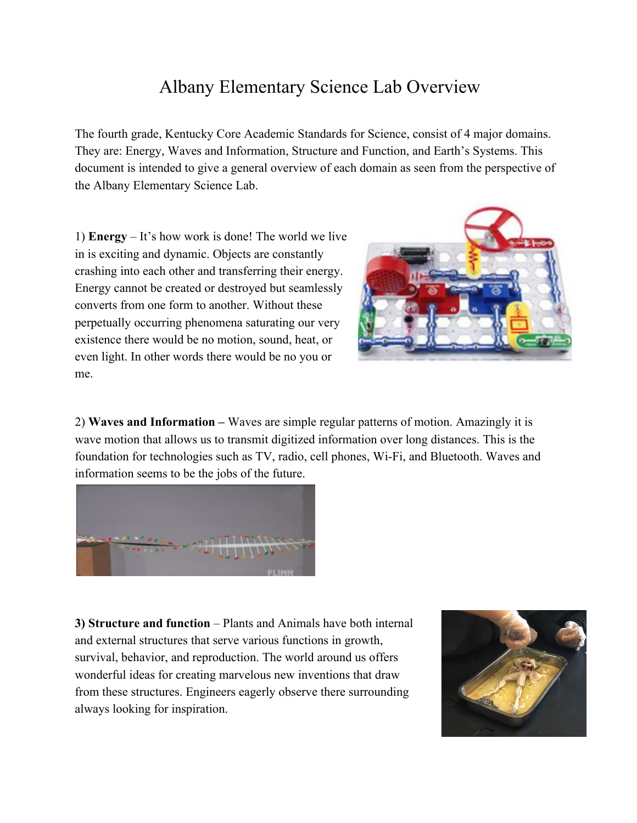## Albany Elementary Science Lab Overview

The fourth grade, Kentucky Core Academic Standards for Science, consist of 4 major domains. They are: Energy, Waves and Information, Structure and Function, and Earth's Systems. This document is intended to give a general overview of each domain as seen from the perspective of the Albany Elementary Science Lab.

1) **Energy** – It's how work is done! The world we live in is exciting and dynamic. Objects are constantly crashing into each other and transferring their energy. Energy cannot be created or destroyed but seamlessly converts from one form to another. Without these perpetually occurring phenomena saturating our very existence there would be no motion, sound, heat, or even light. In other words there would be no you or me.



2) **Waves and Information –** Waves are simple regular patterns of motion. Amazingly it is wave motion that allows us to transmit digitized information over long distances. This is the foundation for technologies such as TV, radio, cell phones, Wi-Fi, and Bluetooth. Waves and information seems to be the jobs of the future.



**3) Structure and function** – Plants and Animals have both internal and external structures that serve various functions in growth, survival, behavior, and reproduction. The world around us offers wonderful ideas for creating marvelous new inventions that draw from these structures. Engineers eagerly observe there surrounding always looking for inspiration.